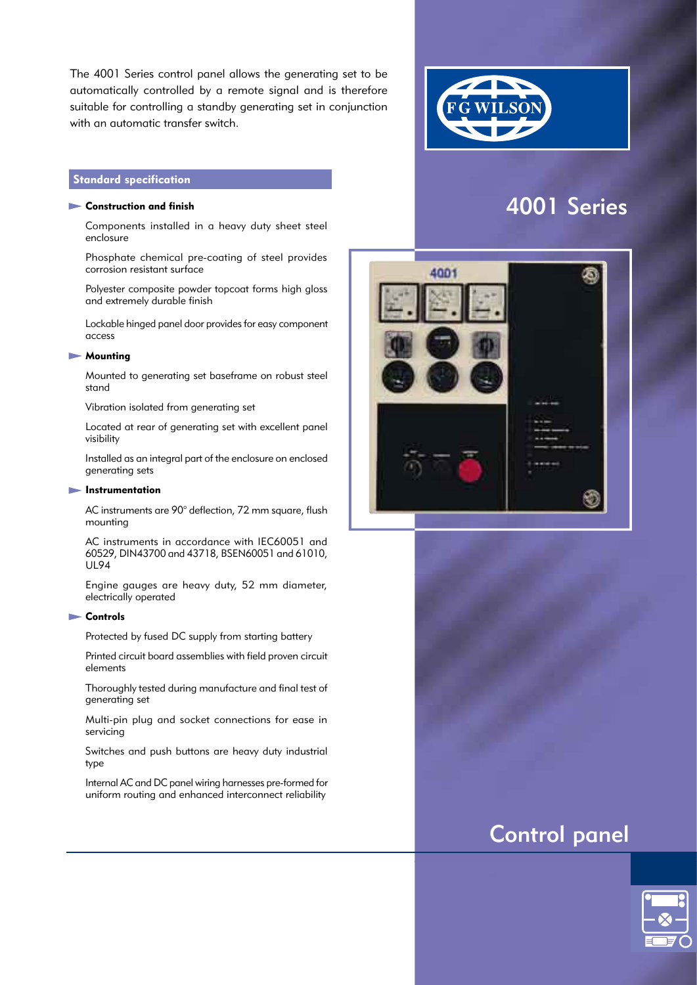The 4001 Series control panel allows the generating set to be automatically controlled by a remote signal and is therefore suitable for controlling a standby generating set in conjunction with an automatic transfer switch.

# **Standard specification**

#### $\blacktriangleright$  Construction and finish

 Components installed in a heavy duty sheet steel enclosure

 Phosphate chemical pre-coating of steel provides corrosion resistant surface

 Polyester composite powder topcoat forms high gloss and extremely durable finish

 Lockable hinged panel door provides for easy component access

#### **Mounting**

 Mounted to generating set baseframe on robust steel stand

Vibration isolated from generating set

 Located at rear of generating set with excellent panel visibility

 Installed as an integral part of the enclosure on enclosed generating sets

#### **Instrumentation**

 AC instruments are 90° deflection, 72 mm square, flush mounting

 AC instruments in accordance with IEC60051 and 60529, DIN43700 and 43718, BSEN60051 and 61010, UL94

 Engine gauges are heavy duty, 52 mm diameter, electrically operated

#### **Controls**

Protected by fused DC supply from starting battery

 Printed circuit board assemblies with field proven circuit elements

 Thoroughly tested during manufacture and final test of generating set

 Multi-pin plug and socket connections for ease in servicing

 Switches and push buttons are heavy duty industrial type

 Internal AC and DC panel wiring harnesses pre-formed for uniform routing and enhanced interconnect reliability



# 4001 Series



# Control panel